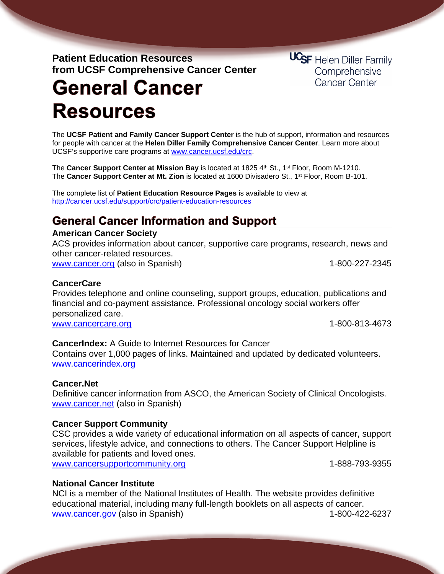### **Patient Education Resources from UCSF Comprehensive Cancer Center**

**UCSF** Helen Diller Family Comprehensive Cancer Center

# **General Cancer Resources**

The **UCSF Patient and Family Cancer Support Center** is the hub of support, information and resources for people with cancer at the **Helen Diller Family Comprehensive Cancer Center**. Learn more about UCSF's supportive care programs at [www.cancer.ucsf.edu/crc.](http://www.cancer.ucsf.edu/crc)

The **Cancer Support Center at Mission Bay** is located at 1825 4th St., 1<sup>st</sup> Floor, Room M-1210. The **Cancer Support Center at Mt. Zion** is located at 1600 Divisadero St., 1st Floor, Room B-101.

The complete list of **Patient Education Resource Pages** is available to view at <http://cancer.ucsf.edu/support/crc/patient-education-resources>

## **General Cancer Information and Support**

### **American Cancer Society**

ACS provides information about cancer, supportive care programs, research, news and other cancer-related resources. [www.cancer.org](http://www.cancer.org/) (also in Spanish) 1-800-227-2345

### **CancerCare**

Provides telephone and online counseling, support groups, education, publications and financial and co-payment assistance. Professional oncology social workers offer personalized care. [www.cancercare.org](http://www.cancercare.org/) 1-800‑813‑4673

### **CancerIndex:** A Guide to Internet Resources for Cancer

Contains over 1,000 pages of links. Maintained and updated by dedicated volunteers. [www.cancerindex.org](http://www.cancerindex.org/)

### **Cancer.Net**

Definitive cancer information from ASCO, the American Society of Clinical Oncologists. [www.cancer.net](http://www.cancer.net/) (also in Spanish)

### **Cancer Support Community**

CSC provides a wide variety of educational information on all aspects of cancer, support services, lifestyle advice, and connections to others. The Cancer Support Helpline is available for patients and loved ones. [www.cancersupportcommunity.org](http://www.cancersupportcommunity.org/) 1-888-793-9355

### **National Cancer Institute**

NCI is a member of the National Institutes of Health. The website provides definitive educational material, including many full-length booklets on all aspects of cancer. [www.cancer.gov](http://www.cancer.gov/) (also in Spanish) 1-800-422-6237